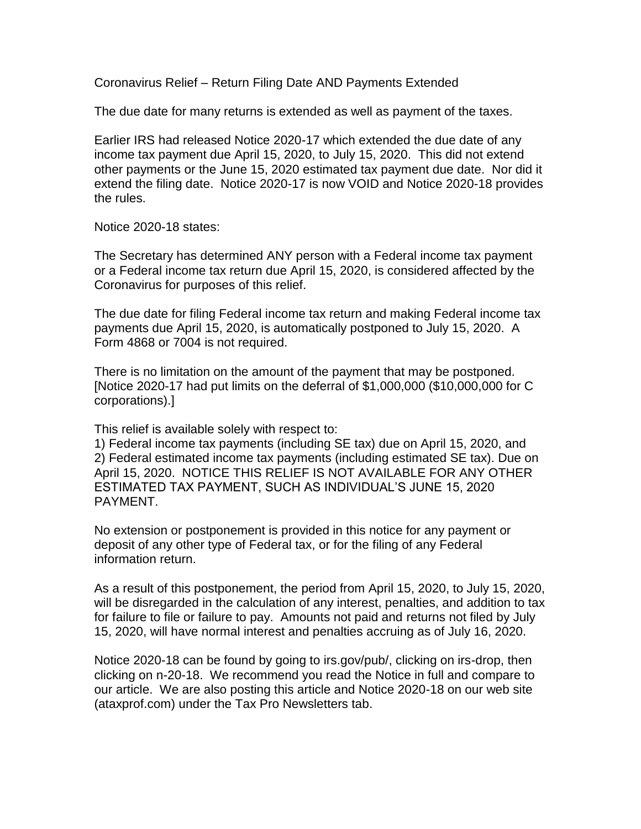Coronavirus Relief – Return Filing Date AND Payments Extended

The due date for many returns is extended as well as payment of the taxes.

Earlier IRS had released Notice 2020-17 which extended the due date of any income tax payment due April 15, 2020, to July 15, 2020. This did not extend other payments or the June 15, 2020 estimated tax payment due date. Nor did it extend the filing date. Notice 2020-17 is now VOID and Notice 2020-18 provides the rules.

Notice 2020-18 states:

The Secretary has determined ANY person with a Federal income tax payment or a Federal income tax return due April 15, 2020, is considered affected by the Coronavirus for purposes of this relief.

The due date for filing Federal income tax return and making Federal income tax payments due April 15, 2020, is automatically postponed to July 15, 2020. A Form 4868 or 7004 is not required.

There is no limitation on the amount of the payment that may be postponed. [Notice 2020-17 had put limits on the deferral of \$1,000,000 (\$10,000,000 for C corporations).]

This relief is available solely with respect to:

1) Federal income tax payments (including SE tax) due on April 15, 2020, and 2) Federal estimated income tax payments (including estimated SE tax). Due on April 15, 2020. NOTICE THIS RELIEF IS NOT AVAILABLE FOR ANY OTHER ESTIMATED TAX PAYMENT, SUCH AS INDIVIDUAL'S JUNE 15, 2020 PAYMENT.

No extension or postponement is provided in this notice for any payment or deposit of any other type of Federal tax, or for the filing of any Federal information return.

As a result of this postponement, the period from April 15, 2020, to July 15, 2020, will be disregarded in the calculation of any interest, penalties, and addition to tax for failure to file or failure to pay. Amounts not paid and returns not filed by July 15, 2020, will have normal interest and penalties accruing as of July 16, 2020.

Notice 2020-18 can be found by going to irs.gov/pub/, clicking on irs-drop, then clicking on n-20-18. We recommend you read the Notice in full and compare to our article. We are also posting this article and Notice 2020-18 on our web site (ataxprof.com) under the Tax Pro Newsletters tab.